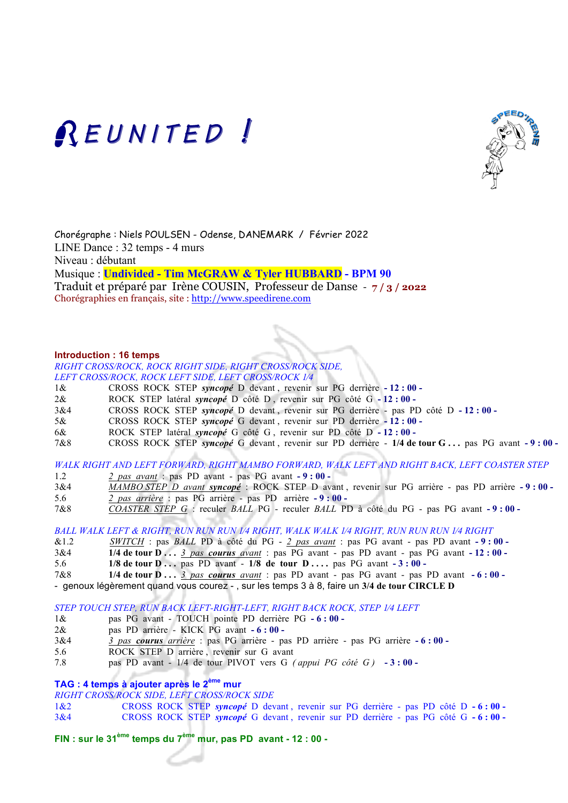



Chorégraphe : Niels POULSEN - Odense, DANEMARK / Février 2022 LINE Dance : 32 temps - 4 murs Niveau : débutant Musique : **Undivided - Tim McGRAW & Tyler HUBBARD - BPM 90**  Traduit et préparé par Irène COUSIN, Professeur de Danse - **7 / 3 / 2022** Chorégraphies en français, site : http://www.speedirene.com

#### **Introduction : 16 temps**

*RIGHT CROSS/ROCK, ROCK RIGHT SIDE, RIGHT CROSS/ROCK SIDE, LEFT CROSS/ROCK, ROCK LEFT SIDE, LEFT CROSS/ROCK 1⁄4*

- 1& CROSS ROCK STEP *syncopé* D devant , revenir sur PG derrière **- 12 : 00**
- 2& ROCK STEP latéral *syncopé* D côté D , revenir sur PG côté G **- 12 : 00**
- 3&4 CROSS ROCK STEP *syncopé* D devant , revenir sur PG derrière pas PD côté D **- 12 : 00**
- 5& CROSS ROCK STEP *syncopé* G devant , revenir sur PD derrière **- 12 : 00**
- 6& ROCK STEP latéral *syncopé* G côté G , revenir sur PD côté D **- 12 : 00**
- 7&8 CROSS ROCK STEP *syncopé* G devant , revenir sur PD derrière **1/4 de tour G . . .** pas PG avant **- 9 : 00**

*WALK RIGHT AND LEFT FORWARD, RIGHT MAMBO FORWARD, WALK LEFT AND RIGHT BACK, LEFT COASTER STEP*

- 1.2 *2 pas avant* : pas PD avant pas PG avant **- 9 : 00**
- 3&4 *MAMBO STEP D avant syncopé* : ROCK STEP D avant , revenir sur PG arrière pas PD arrière **- 9 : 00**
- 5.6 *2 pas arrière* : pas PG arrière pas PD arrière **- 9 : 00**
- 7&8 *COASTER STEP G* : reculer *BALL* PG reculer *BALL* PD à côté du PG pas PG avant **- 9 : 00**

*BALL WALK LEFT & RIGHT, RUN RUN RUN 1⁄4 RIGHT, WALK WALK 1⁄4 RIGHT, RUN RUN RUN 1⁄4 RIGHT*

&1.2 *SWITCH* : pas *BALL* PD à côté du PG - *2 pas avant* : pas PG avant - pas PD avant **- 9 : 00 -** 

- 3&4 **1/4 de tour D . . .** *3 pas courus avant* : pas PG avant pas PD avant pas PG avant **- 12 : 00**
- 5.6 **1/8 de tour D . . .** pas PD avant **1/8 de tour D . . . .** pas PG avant **- 3 : 00**
- 7&8 **1/4 de tour D . . .** *3 pas courus avant* : pas PD avant pas PG avant pas PD avant **- 6 : 00**

- genoux légèrement quand vous courez - , sur les temps 3 à 8, faire un **3/4 de tour CIRCLE D**

*STEP TOUCH STEP, RUN BACK LEFT-RIGHT-LEFT, RIGHT BACK ROCK, STEP 1⁄4 LEFT*

- 1& pas PG avant TOUCH pointe PD derrière PG  $6:00$  -
- 2& pas PD arrière KICK PG avant **- 6 : 00**
- 3&4 *3 pas courus arrière* : pas PG arrière pas PD arrière pas PG arrière **- 6 : 00**
- 5.6 ROCK STEP D arrière , revenir sur G avant
- 7.8 pas PD avant 1/4 de tour PIVOT vers G *( appui PG côté G )* **- 3 : 00**

# **TAG : 4 temps à ajouter après le 2ème mur**

*RIGHT CROSS/ROCK SIDE, LEFT CROSS/ROCK SIDE*

1&2 CROSS ROCK STEP *syncopé* D devant , revenir sur PG derrière - pas PD côté D **- 6 : 00 -**  3&4 CROSS ROCK STEP *syncopé* G devant , revenir sur PD derrière - pas PG côté G **- 6 : 00 -** 

**FIN : sur le 31ème temps du 7ème mur, pas PD avant - 12 : 00 -**